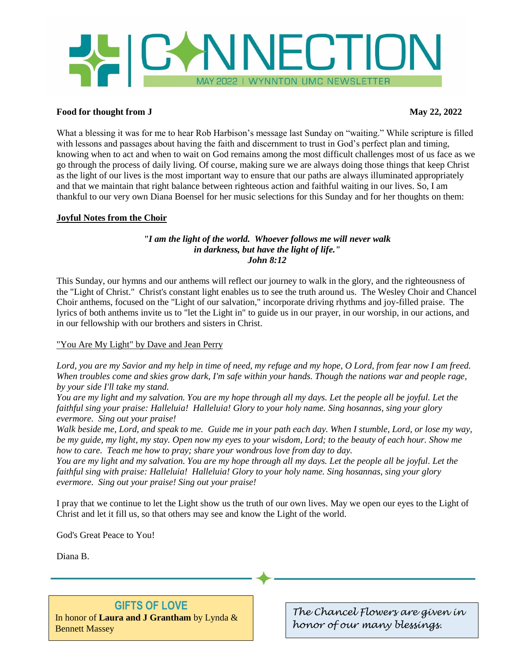# **WICANNECTION** MAY 2022 I WYNNTON UMC NEWSLETTER

#### **Food for thought from J** May 22, 2022

What a blessing it was for me to hear Rob Harbison's message last Sunday on "waiting." While scripture is filled with lessons and passages about having the faith and discernment to trust in God's perfect plan and timing, knowing when to act and when to wait on God remains among the most difficult challenges most of us face as we go through the process of daily living. Of course, making sure we are always doing those things that keep Christ as the light of our lives is the most important way to ensure that our paths are always illuminated appropriately and that we maintain that right balance between righteous action and faithful waiting in our lives. So, I am thankful to our very own Diana Boensel for her music selections for this Sunday and for her thoughts on them:

#### **Joyful Notes from the Choir**

#### *"I am the light of the world. Whoever follows me will never walk in darkness, but have the light of life." John 8:12*

This Sunday, our hymns and our anthems will reflect our journey to walk in the glory, and the righteousness of the "Light of Christ." Christ's constant light enables us to see the truth around us. The Wesley Choir and Chancel Choir anthems, focused on the "Light of our salvation," incorporate driving rhythms and joy-filled praise. The lyrics of both anthems invite us to "let the Light in" to guide us in our prayer, in our worship, in our actions, and in our fellowship with our brothers and sisters in Christ.

#### "You Are My Light" by Dave and Jean Perry

*Lord, you are my Savior and my help in time of need, my refuge and my hope, O Lord, from fear now I am freed. When troubles come and skies grow dark, I'm safe within your hands. Though the nations war and people rage, by your side I'll take my stand.* 

*You are my light and my salvation. You are my hope through all my days. Let the people all be joyful. Let the faithful sing your praise: Halleluia! Halleluia! Glory to your holy name. Sing hosannas, sing your glory evermore. Sing out your praise!* 

*Walk beside me, Lord, and speak to me. Guide me in your path each day. When I stumble, Lord, or lose my way, be my guide, my light, my stay. Open now my eyes to your wisdom, Lord; to the beauty of each hour. Show me how to care. Teach me how to pray; share your wondrous love from day to day.* 

*You are my light and my salvation. You are my hope through all my days. Let the people all be joyful. Let the faithful sing with praise: Halleluia! Halleluia! Glory to your holy name. Sing hosannas, sing your glory evermore. Sing out your praise! Sing out your praise!*

I pray that we continue to let the Light show us the truth of our own lives. May we open our eyes to the Light of Christ and let it fill us, so that others may see and know the Light of the world.

God's Great Peace to You!

Diana B.

## **GIFTS OF LOVE**

In honor of **Laura and J Grantham** by Lynda & Bennett Massey

*The Chancel Flowers are given in honor of our many blessings.*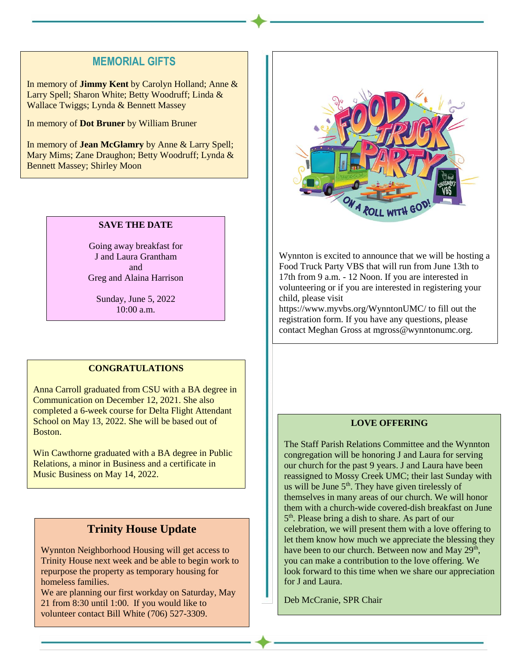## **MEMORIAL GIFTS**

In memory of **Jimmy Kent** by Carolyn Holland; Anne & Larry Spell; Sharon White; Betty Woodruff; Linda & Wallace Twiggs; Lynda & Bennett Massey

In memory of **Dot Bruner** by William Bruner

In memory of **Jean McGlamry** by Anne & Larry Spell; Mary Mims; Zane Draughon; Betty Woodruff; Lynda & Bennett Massey; Shirley Moon

#### **SAVE THE DATE**

Going away breakfast for J and Laura Grantham and Greg and Alaina Harrison

Sunday, June 5, 2022 10:00 a.m.

#### **CONGRATULATIONS**

Anna Carroll graduated from CSU with a BA degree in Communication on December 12, 2021. She also completed a 6-week course for Delta Flight Attendant School on May 13, 2022. She will be based out of Boston.

Win Cawthorne graduated with a BA degree in Public Relations, a minor in Business and a certificate in Music Business on May 14, 2022.

## **Trinity House Update**

Wynnton Neighborhood Housing will get access to Trinity House next week and be able to begin work to repurpose the property as temporary housing for homeless families.

We are planning our first workday on Saturday, May 21 from 8:30 until 1:00. If you would like to volunteer contact Bill White (706) 527-3309.



Wynnton is excited to announce that we will be hosting a Food Truck Party VBS that will run from June 13th to 17th from 9 a.m. - 12 Noon. If you are interested in volunteering or if you are interested in registering your child, please visit

https://www.myvbs.org/WynntonUMC/ to fill out the registration form. If you have any questions, please contact Meghan Gross at mgross@wynntonumc.org.

#### **LOVE OFFERING**

The Staff Parish Relations Committee and the Wynnton congregation will be honoring J and Laura for serving our church for the past 9 years. J and Laura have been reassigned to Mossy Creek UMC; their last Sunday with us will be June  $5<sup>th</sup>$ . They have given tirelessly of themselves in many areas of our church. We will honor them with a church-wide covered-dish breakfast on June 5<sup>th</sup>. Please bring a dish to share. As part of our celebration, we will present them with a love offering to let them know how much we appreciate the blessing they have been to our church. Between now and May 29<sup>th</sup>, you can make a contribution to the love offering. We look forward to this time when we share our appreciation for J and Laura.

Deb McCranie, SPR Chair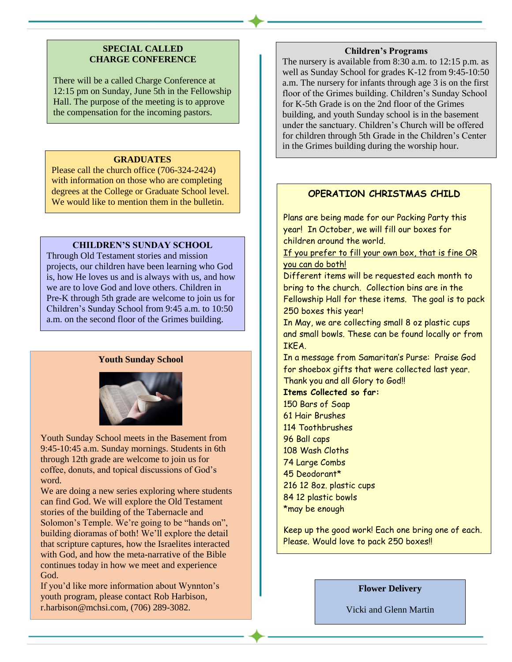#### **SPECIAL CALLED CHARGE CONFERENCE**

There will be a called Charge Conference at 12:15 pm on Sunday, June 5th in the Fellowship Hall. The purpose of the meeting is to approve the compensation for the incoming pastors.

#### **GRADUATES**

Please call the church office (706-324-2424) with information on those who are completing degrees at the College or Graduate School level. We would like to mention them in the bulletin.

#### **CHILDREN'S SUNDAY SCHOOL**

Through Old Testament stories and mission projects, our children have been learning who God is, how He loves us and is always with us, and how we are to love God and love others. Children in Pre-K through 5th grade are welcome to join us for Children's Sunday School from 9:45 a.m. to 10:50 a.m. on the second floor of the Grimes building.

#### **Youth Sunday School**



Youth Sunday School meets in the Basement from 9:45-10:45 a.m. Sunday mornings. Students in 6th through 12th grade are welcome to join us for coffee, donuts, and topical discussions of God's word.

We are doing a new series exploring where students can find God. We will explore the Old Testament stories of the building of the Tabernacle and Solomon's Temple. We're going to be "hands on", building dioramas of both! We'll explore the detail that scripture captures, how the Israelites interacted with God, and how the meta-narrative of the Bible continues today in how we meet and experience God.

If you'd like more information about Wynnton's youth program, please contact Rob Harbison, r.harbison@mchsi.com, (706) 289-3082.

#### **Children's Programs**

The nursery is available from 8:30 a.m. to 12:15 p.m. as well as Sunday School for grades K-12 from 9:45-10:50 a.m. The nursery for infants through age 3 is on the first floor of the Grimes building. Children's Sunday School for K-5th Grade is on the 2nd floor of the Grimes building, and youth Sunday school is in the basement under the sanctuary. Children's Church will be offered for children through 5th Grade in the Children's Center in the Grimes building during the worship hour.

#### **OPERATION CHRISTMAS CHILD**

Plans are being made for our Packing Party this year! In October, we will fill our boxes for children around the world.

If you prefer to fill your own box, that is fine OR you can do both!

Different items will be requested each month to bring to the church. Collection bins are in the Fellowship Hall for these items. The goal is to pack 250 boxes this year!

In May, we are collecting small 8 oz plastic cups and small bowls. These can be found locally or from IKEA.

In a message from Samaritan's Purse: Praise God for shoebox gifts that were collected last year. Thank you and all Glory to God!!

#### **Items Collected so far:**

 Bars of Soap Hair Brushes Toothbrushes Ball caps Wash Cloths Large Combs Deodorant\* 216 12 8oz. plastic cups 84 12 plastic bowls \*may be enough

Keep up the good work! Each one bring one of each. Please. Would love to pack 250 boxes!

#### **Flower Delivery**

Vicki and Glenn Martin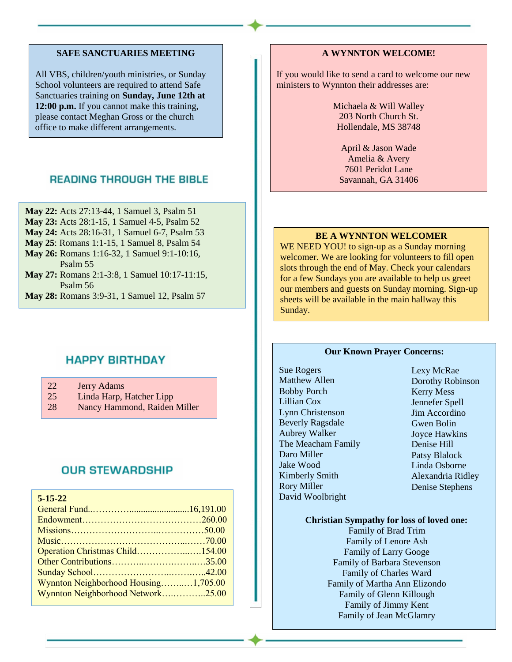#### **SAFE SANCTUARIES MEETING**

All VBS, children/youth ministries, or Sunday School volunteers are required to attend Safe Sanctuaries training on **Sunday, June 12th at 12:00 p.m.** If you cannot make this training, please contact Meghan Gross or the church office to make different arrangements.

## **READING THROUGH THE BIBLE**

- **May 22:** Acts 27:13-44, 1 Samuel 3, Psalm 51
- **May 23:** Acts 28:1-15, 1 Samuel 4-5, Psalm 52
- **May 24:** Acts 28:16-31, 1 Samuel 6-7, Psalm 53
- **May 25**: Romans 1:1-15, 1 Samuel 8, Psalm 54
- **May 26:** Romans 1:16-32, 1 Samuel 9:1-10:16, Psalm 55
- **May 27:** Romans 2:1-3:8, 1 Samuel 10:17-11:15, Psalm 56
- **May 28:** Romans 3:9-31, 1 Samuel 12, Psalm 57

## **HAPPY BIRTHDAY**

- 22 Jerry Adams
- 25 Linda Harp, Hatcher Lipp
- 28 Nancy Hammond, Raiden Miller

## **OUR STEWARDSHIP**

| $5 - 15 - 22$                        |  |
|--------------------------------------|--|
|                                      |  |
|                                      |  |
|                                      |  |
|                                      |  |
| Operation Christmas Child154.00      |  |
|                                      |  |
|                                      |  |
| Wynnton Neighborhood Housing1,705.00 |  |
| Wynnton Neighborhood Network25.00    |  |

#### **A WYNNTON WELCOME!**

If you would like to send a card to welcome our new ministers to Wynnton their addresses are:

> Michaela & Will Walley 203 North Church St. Hollendale, MS 38748

April & Jason Wade Amelia & Avery 7601 Peridot Lane Savannah, GA 31406

#### **BE A WYNNTON WELCOMER**

WE NEED YOU! to sign-up as a Sunday morning welcomer. We are looking for volunteers to fill open slots through the end of May. Check your calendars for a few Sundays you are available to help us greet our members and guests on Sunday morning. Sign-up sheets will be available in the main hallway this Sunday.

#### **Our Known Prayer Concerns:**

Sue Rogers Matthew Allen Bobby Porch Lillian Cox Lynn Christenson Beverly Ragsdale Aubrey Walker The Meacham Family Daro Miller Jake Wood Kimberly Smith Rory Miller David Woolbright

Lexy McRae Dorothy Robinson Kerry Mess Jennefer Spell Jim Accordino Gwen Bolin Joyce Hawkins Denise Hill Patsy Blalock Linda Osborne Alexandria Ridley Denise Stephens

#### **Christian Sympathy for loss of loved one:**

Family of Brad Trim Family of Lenore Ash Family of Larry Googe Family of Barbara Stevenson Family of Charles Ward Family of Martha Ann Elizondo Family of Glenn Killough Family of Jimmy Kent Family of Jean McGlamry